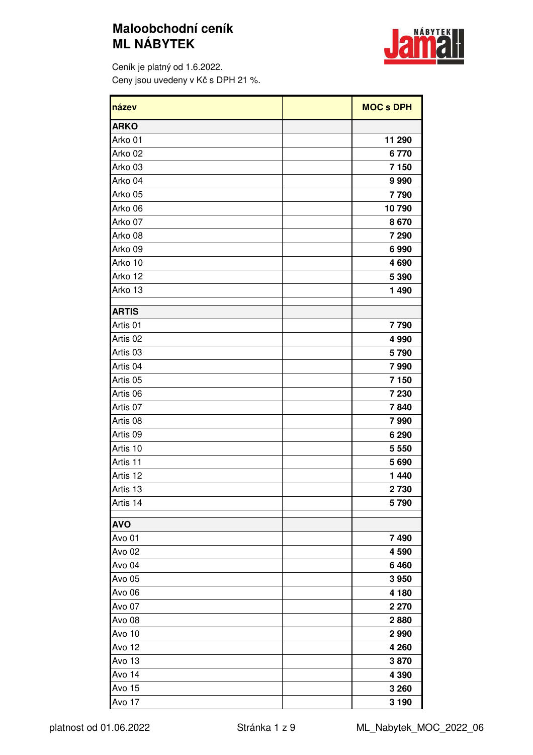## **Maloobchodní ceník ML NÁBYTEK**



Ceník je platný od 1.6.2022. Ceny jsou uvedeny v Kč s DPH 21 %.

| název               | <b>MOC s DPH</b> |
|---------------------|------------------|
| <b>ARKO</b>         |                  |
| Arko 01             | 11 290           |
| Arko 02             | 6770             |
| Arko 03             | 7 150            |
| Arko 04             | 9990             |
| Arko 05             | 7790             |
| Arko 06             | 10790            |
| Arko 07             | 8670             |
| Arko 08             | 7 2 9 0          |
| Arko 09             | 6990             |
| Arko 10             | 4690             |
| Arko 12             | 5 3 9 0          |
| Arko 13             | 1 4 9 0          |
| <b>ARTIS</b>        |                  |
| Artis 01            | 7790             |
| Artis 02            | 4 9 9 0          |
| Artis <sub>03</sub> | 5790             |
| Artis 04            | 7990             |
| Artis <sub>05</sub> | 7 1 5 0          |
| Artis 06            | 7 2 3 0          |
| Artis 07            | 7840             |
| Artis 08            | 7990             |
| Artis 09            | 6 2 9 0          |
| Artis 10            | 5 5 5 0          |
| Artis 11            | 5690             |
| Artis 12            | 1 4 4 0          |
| Artis 13            | 2730             |
| Artis 14            | 5790             |
|                     |                  |
| <b>AVO</b>          |                  |
| Avo 01              | 7490             |
| <b>Avo 02</b>       | 4590             |
| Avo <sub>04</sub>   | 6460             |
| Avo 05              | 3950             |
| Avo <sub>06</sub>   | 4 180            |
| Avo 07              | 2 2 7 0          |
| Avo <sub>08</sub>   | 2880             |
| Avo 10              | 2990             |
| Avo 12              | 4 2 6 0          |
| Avo 13              | 3870             |
| Avo 14              | 4 3 9 0          |
| Avo 15              | 3 2 6 0          |
| Avo 17              | 3 1 9 0          |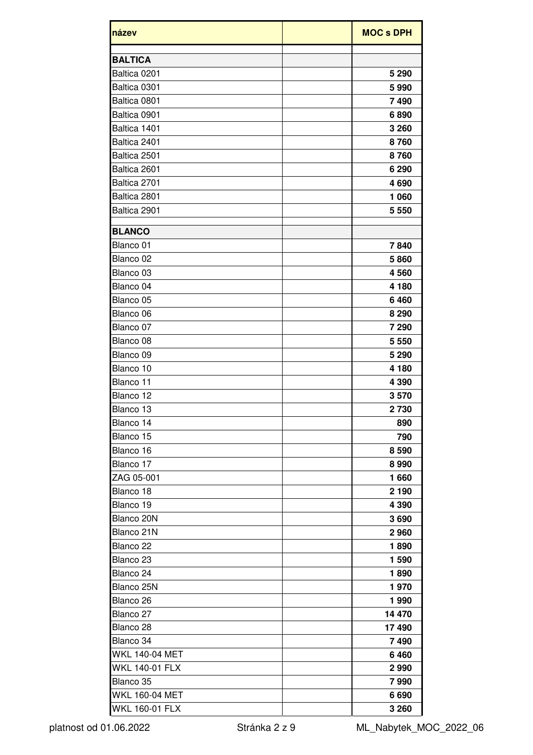| název                 | <b>MOC s DPH</b> |
|-----------------------|------------------|
| <b>BALTICA</b>        |                  |
| Baltica 0201          | 5 2 9 0          |
| Baltica 0301          | 5990             |
| Baltica 0801          | 7490             |
| Baltica 0901          | 6890             |
| Baltica 1401          | 3 2 6 0          |
| Baltica 2401          | 8760             |
| Baltica 2501          | 8760             |
| Baltica 2601          | 6 2 9 0          |
| Baltica 2701          | 4690             |
| Baltica 2801          | 1 0 6 0          |
| Baltica 2901          | 5 5 5 0          |
| <b>BLANCO</b>         |                  |
| Blanco 01             | 7840             |
| Blanco 02             | 5860             |
| Blanco 03             | 4560             |
| Blanco 04             | 4 1 8 0          |
| Blanco 05             | 6460             |
| Blanco 06             | 8 2 9 0          |
| Blanco 07             | 7 2 9 0          |
| Blanco 08             | 5 5 5 0          |
| Blanco 09             | 5 2 9 0          |
| Blanco 10             | 4 180            |
| Blanco 11             | 4 3 9 0          |
| Blanco 12             | 3570             |
| Blanco 13             | 2730             |
| Blanco 14             | 890              |
| Blanco 15             | 790              |
| Blanco 16             | 8 5 9 0          |
| Blanco 17             | 8990             |
| ZAG 05-001            | 1660             |
| Blanco 18             | 2 1 9 0          |
| Blanco 19             | 4 3 9 0          |
| Blanco 20N            | 3690             |
| Blanco 21N            | 2960             |
| Blanco <sub>22</sub>  | 1890             |
| Blanco <sub>23</sub>  | 1 590            |
| Blanco 24             | 1890             |
| Blanco 25N            | 1970             |
| Blanco <sub>26</sub>  | 1990             |
| Blanco 27             | 14 470           |
| Blanco <sub>28</sub>  | 17490            |
| Blanco 34             | 7490             |
| <b>WKL 140-04 MET</b> | 6460             |
| <b>WKL 140-01 FLX</b> | 2990             |
| Blanco 35             | 7990             |
| <b>WKL 160-04 MET</b> | 6690             |
| <b>WKL 160-01 FLX</b> | 3 2 6 0          |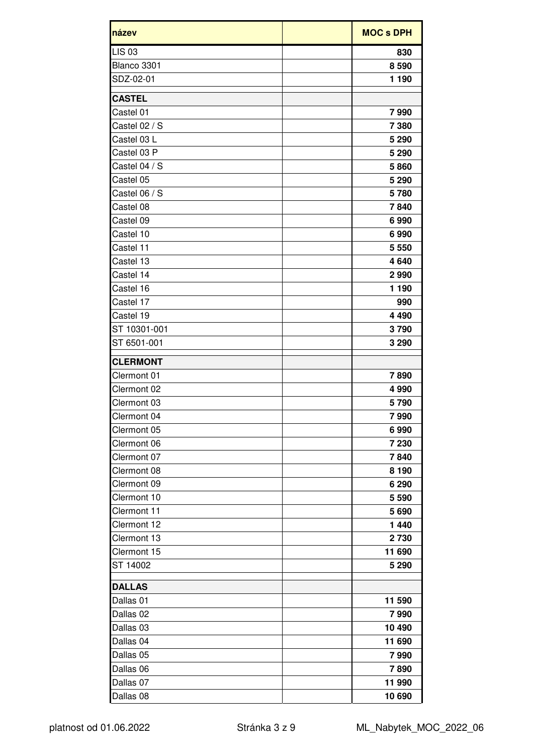| název           | <b>MOC s DPH</b> |
|-----------------|------------------|
| <b>LIS 03</b>   | 830              |
| Blanco 3301     | 8590             |
| SDZ-02-01       | 1 1 9 0          |
| <b>CASTEL</b>   |                  |
| Castel 01       | 7990             |
| Castel 02 / S   | 7 3 8 0          |
| Castel 03 L     | 5 2 9 0          |
| Castel 03 P     | 5 2 9 0          |
| Castel 04 / S   | 5860             |
| Castel 05       | 5 2 9 0          |
| Castel 06 / S   | 5780             |
| Castel 08       | 7840             |
| Castel 09       | 6990             |
| Castel 10       | 6990             |
| Castel 11       | 5 5 5 0          |
| Castel 13       | 4640             |
| Castel 14       | 2990             |
| Castel 16       | 1 1 9 0          |
| Castel 17       | 990              |
| Castel 19       | 4 4 9 0          |
| ST 10301-001    | 3790             |
| ST 6501-001     | 3 2 9 0          |
| <b>CLERMONT</b> |                  |
| Clermont 01     | 7890             |
| Clermont 02     | 4990             |
| Clermont 03     | 5790             |
| Clermont 04     | 7990             |
| Clermont 05     | 6990             |
| Clermont 06     | 7 2 3 0          |
| Clermont 07     | 7840             |
| Clermont 08     | 8 1 9 0          |
| Clermont 09     | 6 2 9 0          |
| Clermont 10     | 5 5 9 0          |
| Clermont 11     | 5690             |
| Clermont 12     | 1 4 4 0          |
| Clermont 13     | 2 7 3 0          |
| Clermont 15     | 11 690           |
| ST 14002        | 5 2 9 0          |
| <b>DALLAS</b>   |                  |
| Dallas 01       | 11 590           |
| Dallas 02       | 7990             |
| Dallas 03       | 10 490           |
| Dallas 04       | 11 690           |
| Dallas 05       | 7990             |
| Dallas 06       | 7890             |
| Dallas 07       | 11 990           |
| Dallas 08       | 10 690           |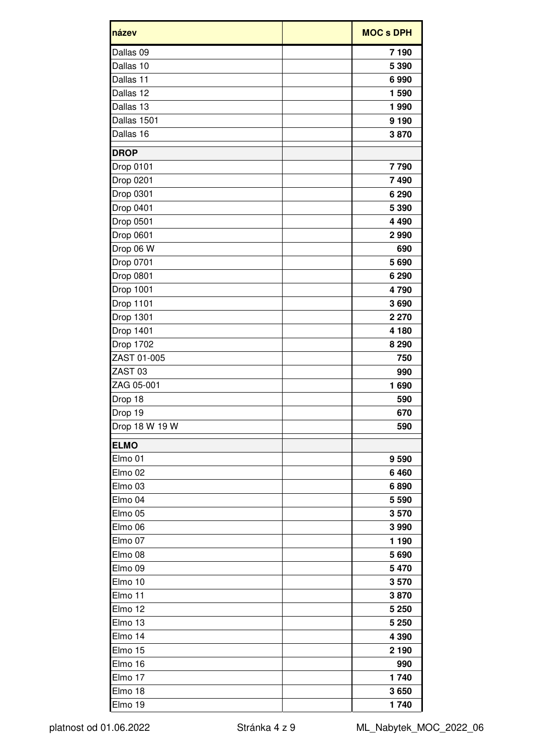| název              | <b>MOC s DPH</b> |
|--------------------|------------------|
| Dallas 09          | 7 190            |
| Dallas 10          | 5 3 9 0          |
| Dallas 11          | 6990             |
| Dallas 12          | 1 590            |
| Dallas 13          | 1990             |
| Dallas 1501        | 9 1 9 0          |
| Dallas 16          | 3870             |
| <b>DROP</b>        |                  |
| Drop 0101          | 7790             |
| Drop 0201          | 7490             |
| Drop 0301          | 6 2 9 0          |
| Drop 0401          | 5 3 9 0          |
| Drop 0501          | 4 4 9 0          |
| Drop 0601          | 2990             |
| Drop 06 W          | 690              |
| Drop 0701          | 5690             |
| <b>Drop 0801</b>   | 6 2 9 0          |
| <b>Drop 1001</b>   | 4790             |
| <b>Drop 1101</b>   | 3690             |
| <b>Drop 1301</b>   | 2 2 7 0          |
| <b>Drop 1401</b>   | 4 180            |
| Drop 1702          | 8 2 9 0          |
| ZAST 01-005        | 750              |
| ZAST <sub>03</sub> | 990              |
| ZAG 05-001         | 1690             |
| Drop 18            | 590              |
| Drop 19            | 670              |
| Drop 18 W 19 W     | 590              |
| <b>ELMO</b>        |                  |
| Elmo 01            | 9 5 9 0          |
| Elmo <sub>02</sub> | 6460             |
| Elmo <sub>03</sub> | 6890             |
| Elmo <sub>04</sub> | 5 5 9 0          |
| Elmo <sub>05</sub> | 3570             |
| Elmo <sub>06</sub> | 3 9 9 0          |
| Elmo 07            | 1 1 9 0          |
| Elmo <sub>08</sub> | 5690             |
| Elmo <sub>09</sub> | 5 4 7 0          |
| Elmo 10            | 3570             |
| Elmo 11            | 3870             |
| Elmo 12            | 5 2 5 0          |
| Elmo 13            | 5 2 5 0          |
| Elmo 14            | 4 3 9 0          |
| Elmo 15            | 2 1 9 0          |
| Elmo 16            | 990              |
| Elmo 17            | 1740             |
| Elmo 18            | 3650             |
| Elmo 19            | 1740             |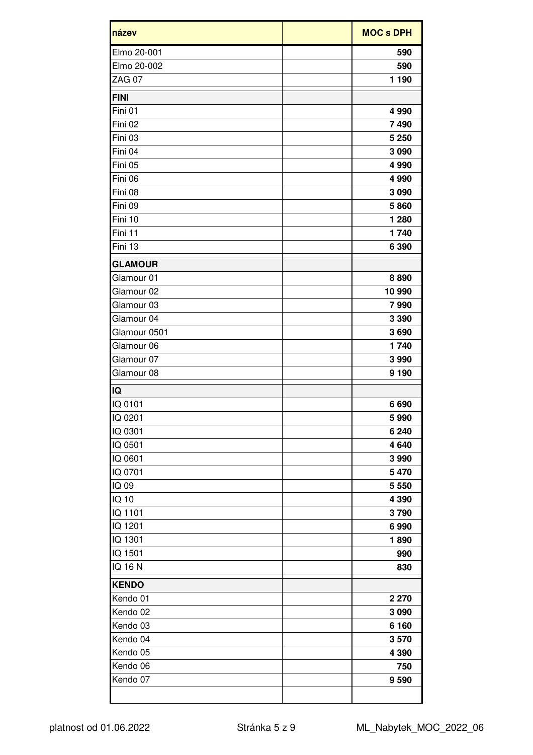| název          | <b>MOC s DPH</b> |
|----------------|------------------|
| Elmo 20-001    | 590              |
| Elmo 20-002    | 590              |
| <b>ZAG 07</b>  | 1 1 9 0          |
| <b>FINI</b>    |                  |
| Fini 01        | 4 9 9 0          |
| Fini 02        | 7490             |
| Fini 03        | 5 2 5 0          |
| Fini 04        | 3 0 9 0          |
| Fini 05        | 4 9 9 0          |
| Fini 06        | 4 9 9 0          |
| Fini 08        | 3 0 9 0          |
| Fini 09        | 5860             |
| Fini 10        | 1 2 8 0          |
| Fini 11        | 1740             |
| Fini 13        | 6 3 9 0          |
| <b>GLAMOUR</b> |                  |
| Glamour 01     | 8890             |
| Glamour 02     | 10 990           |
| Glamour 03     | 7990             |
| Glamour 04     | 3 3 9 0          |
| Glamour 0501   | 3690             |
| Glamour 06     | 1740             |
| Glamour 07     | 3 9 9 0          |
| Glamour 08     | 9 1 9 0          |
| IQ             |                  |
| IQ 0101        | 6690             |
| IQ 0201        | 5990             |
| IQ 0301        | 6 2 4 0          |
| IQ 0501        | 4640             |
| IQ 0601        | 3990             |
| IQ 0701        | 5 4 7 0          |
| IQ 09          | 5 5 5 0          |
| IQ 10          | 4 3 9 0          |
| IQ 1101        | 3790             |
| IQ 1201        | 6990             |
| IQ 1301        | 1890             |
| IQ 1501        | 990              |
| IQ 16 N        | 830              |
| <b>KENDO</b>   |                  |
| Kendo 01       | 2 2 7 0          |
| Kendo 02       | 3 0 9 0          |
| Kendo 03       | 6 1 6 0          |
| Kendo 04       | 3570             |
| Kendo 05       | 4 3 9 0          |
| Kendo 06       | 750              |
| Kendo 07       | 9590             |
|                |                  |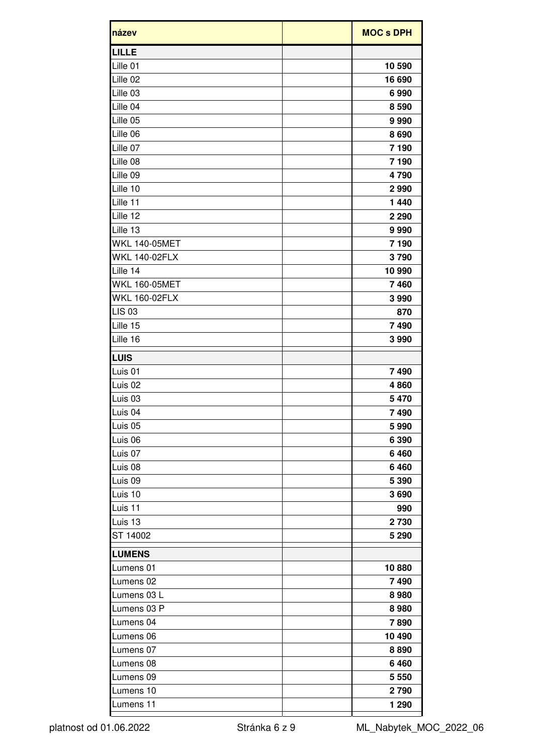| název                | <b>MOC s DPH</b> |
|----------------------|------------------|
| <b>LILLE</b>         |                  |
| Lille 01             | 10 590           |
| Lille 02             | 16 690           |
| Lille 03             | 6990             |
| Lille 04             | 8 5 9 0          |
| Lille 05             | 9990             |
| Lille 06             | 8690             |
| Lille 07             | 7 190            |
| Lille 08             | 7 190            |
| Lille 09             | 4790             |
| Lille 10             | 2990             |
| Lille 11             | 1 4 4 0          |
| Lille 12             | 2 2 9 0          |
| Lille 13             | 9990             |
| <b>WKL 140-05MET</b> | 7 190            |
| <b>WKL 140-02FLX</b> | 3790             |
| Lille 14             | 10 990           |
| <b>WKL 160-05MET</b> | 7460             |
| <b>WKL 160-02FLX</b> | 3990             |
| <b>LIS 03</b>        | 870              |
| Lille 15             | 7490             |
| Lille 16             | 3990             |
|                      |                  |
| <b>LUIS</b>          |                  |
| Luis 01              | 7490             |
| Luis <sub>02</sub>   | 4860             |
| Luis <sub>03</sub>   | 5 4 7 0          |
| Luis 04              | 7490             |
| Luis <sub>05</sub>   | 5990             |
| Luis 06              | 6 3 9 0          |
| Luis <sub>07</sub>   | 6460             |
| Luis <sub>08</sub>   | 6460             |
| Luis <sub>09</sub>   | 5 3 9 0          |
| Luis 10              | 3690             |
| Luis 11              | 990              |
| Luis 13              | 2 7 3 0          |
| ST 14002             | 5 2 9 0          |
| <b>LUMENS</b>        |                  |
| Lumens 01            | 10880            |
| Lumens 02            | 7490             |
| Lumens 03 L          | 8980             |
| Lumens 03 P          | 8980             |
| Lumens 04            | 7890             |
| Lumens 06            | 10 490           |
| Lumens 07            | 8890             |
| Lumens 08            | 6460             |
| Lumens 09            | 5 5 5 0          |
| Lumens 10            | 2790             |
| Lumens 11            | 1 2 9 0          |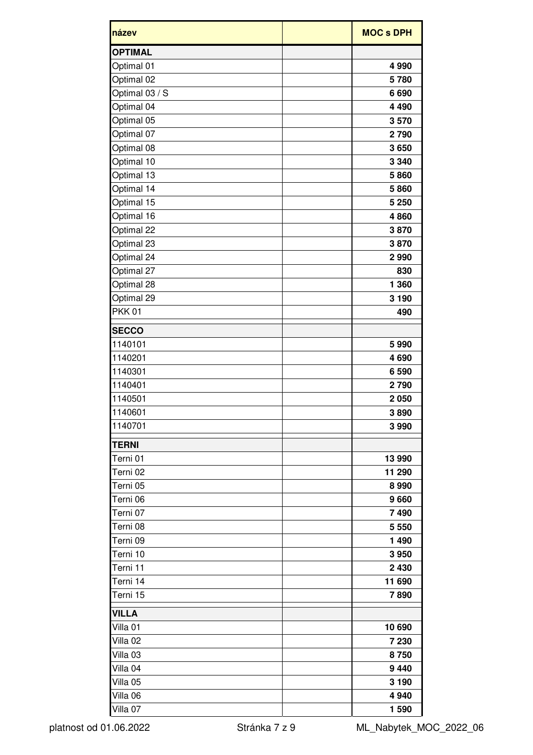| název               | <b>MOC s DPH</b> |
|---------------------|------------------|
| <b>OPTIMAL</b>      |                  |
| Optimal 01          | 4 9 9 0          |
| Optimal 02          | 5780             |
| Optimal 03 / S      | 6690             |
| Optimal 04          | 4 4 9 0          |
| Optimal 05          | 3570             |
| Optimal 07          | 2790             |
| Optimal 08          | 3650             |
| Optimal 10          | 3 3 4 0          |
| Optimal 13          | 5860             |
| Optimal 14          | 5860             |
| Optimal 15          | 5 2 5 0          |
| Optimal 16          | 4860             |
| Optimal 22          | 3870             |
| Optimal 23          | 3870             |
| Optimal 24          | 2990             |
| Optimal 27          | 830              |
| Optimal 28          | 1 360            |
| Optimal 29          | 3 1 9 0          |
| <b>PKK01</b>        | 490              |
| <b>SECCO</b>        |                  |
| 1140101             | 5990             |
| 1140201             | 4690             |
| 1140301             | 6 5 9 0          |
| 1140401             | 2790             |
| 1140501             | 2 0 5 0          |
| 1140601             | 3890             |
| 1140701             | 3990             |
| <b>TERNI</b>        |                  |
| Terni 01            | 13 990           |
| Terni 02            | 11 290           |
| Terni 05            | 8990             |
| Terni 06            | 9660             |
| Terni 07            | 7490             |
| Terni 08            | 5 5 5 0          |
| Terni 09            | 1 4 9 0          |
| Terni 10            | 3950             |
| Terni 11            | 2 4 3 0          |
| Terni 14            | 11 690           |
| Terni 15            | 7890             |
| <b>VILLA</b>        |                  |
| Villa 01            | 10 690           |
| Villa <sub>02</sub> | 7 2 3 0          |
| Villa <sub>03</sub> | 8750             |
| Villa 04            | 9 4 4 0          |
| Villa 05            | 3 1 9 0          |
| Villa <sub>06</sub> | 4 9 4 0          |
| Villa 07            | 1 590            |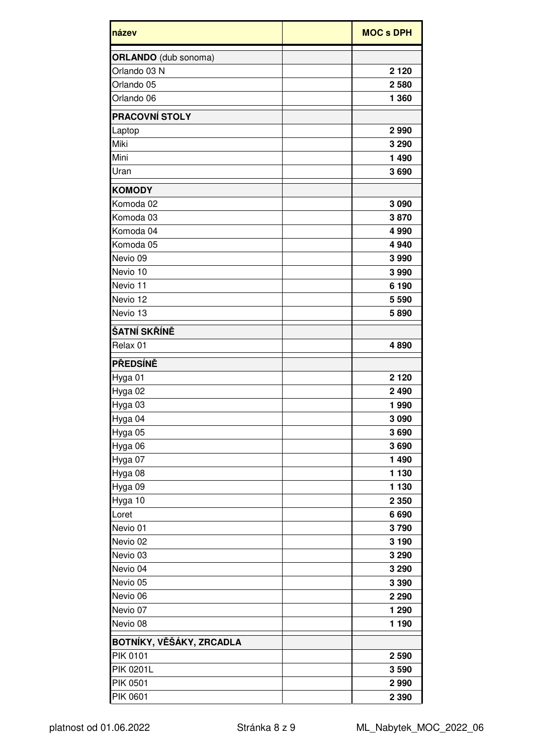| název                       | <b>MOC s DPH</b> |
|-----------------------------|------------------|
| <b>ORLANDO</b> (dub sonoma) |                  |
| Orlando 03 N                | 2 1 2 0          |
| Orlando 05                  | 2580             |
| Orlando 06                  | 1 360            |
| <b>PRACOVNÍ STOLY</b>       |                  |
| Laptop                      | 2990             |
| Miki                        | 3 2 9 0          |
| Mini                        | 1490             |
| Uran                        | 3690             |
| <b>KOMODY</b>               |                  |
| Komoda 02                   | 3 0 9 0          |
| Komoda 03                   | 3870             |
| Komoda 04                   | 4 9 9 0          |
| Komoda 05                   | 4 9 4 0          |
| Nevio 09                    | 3990             |
| Nevio 10                    | 3990             |
| Nevio 11                    | 6 190            |
| Nevio 12                    | 5 5 9 0          |
| Nevio 13                    | 5890             |
| ŠATNÍ SKŘÍNĚ                |                  |
| Relax 01                    | 4890             |
| <b>PŘEDSÍNĚ</b>             |                  |
| Hyga 01                     | 2 1 2 0          |
| Hyga 02                     | 2 4 9 0          |
| Hyga 03                     | 1990             |
| Hyga 04                     | 3 0 9 0          |
| Hyga 05                     | 3690             |
| Hyga 06                     | 3690             |
| Hyga 07                     | 1 4 9 0          |
| Hyga 08                     | 1 1 3 0          |
| Hyga 09                     | 1 1 3 0          |
| Hyga 10                     | 2 3 5 0          |
| Loret                       | 6690             |
| Nevio 01                    | 3790             |
| Nevio 02                    | 3 1 9 0          |
| Nevio 03                    | 3 2 9 0          |
| Nevio 04                    | 3 2 9 0          |
| Nevio 05                    | 3 3 9 0          |
| Nevio 06                    | 2 2 9 0          |
| Nevio 07                    | 1 2 9 0          |
| Nevio 08                    | 1 1 9 0          |
| BOTNÍKY, VĚŠÁKY, ZRCADLA    |                  |
| <b>PIK 0101</b>             | 2 5 9 0          |
| <b>PIK 0201L</b>            | 3590             |
| <b>PIK 0501</b>             | 2990             |
| <b>PIK 0601</b>             | 2 3 9 0          |